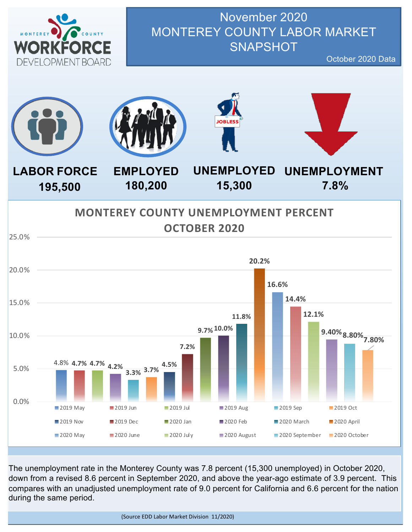

November 2020 MONTEREY COUNTY LABOR MARKET **SNAPSHOT** 

October 2020 Data



The unemployment rate in the Monterey County was 7.8 percent (15,300 unemployed) in October 2020, down from a revised 8.6 percent in September 2020, and above the year-ago estimate of 3.9 percent. This compares with an unadjusted unemployment rate of 9.0 percent for California and 6.6 percent for the nation during the same period.

(Source EDD Labor Market Division 11/2020)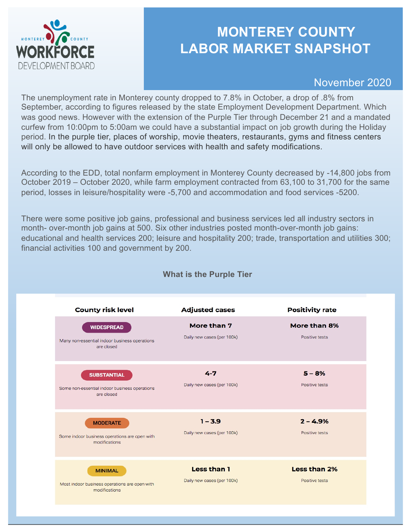

### **MONTEREY COUNTY LABOR MARKET SNAPSHOT**

November 2020

The unemployment rate in Monterey county dropped to 7.8% in October, a drop of .8% from September, according to figures released by the state Employment Development Department. Which was good news. However with the extension of the Purple Tier through December 21 and a mandated curfew from 10:00pm to 5:00am we could have a substantial impact on job growth during the Holiday period. In the purple tier, places of worship, movie theaters, restaurants, gyms and fitness centers will only be allowed to have outdoor services with health and safety modifications.

According to the EDD, total nonfarm employment in Monterey County decreased by -14,800 jobs from October 2019 – October 2020, while farm employment contracted from 63,100 to 31,700 for the same period, losses in leisure/hospitality were -5,700 and accommodation and food services -5200.

There were some positive job gains, professional and business services led all industry sectors in month- over-month job gains at 500. Six other industries posted month-over-month job gains: educational and health services 200; leisure and hospitality 200; trade, transportation and utilities 300; financial activities 100 and government by 200.



#### **What is the Purple Tier**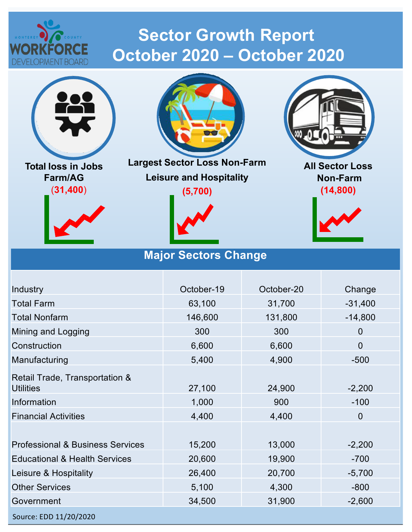

# **Sector Growth Report October 2020 – October 2020**



**Total loss in Jobs Farm/AG** (**31,400**)





**Largest Sector Loss Non-Farm Leisure and Hospitality**

**(5,700)**

**Major Sectors Change** 





**All Sector Loss Non-Farm (14,800)**



### Source: EDD 11/20/2020 Industry **Change Community** Corresponding Corresponding Change October-19 and October-20 Change Total Farm 63,100 31,700 -31,400 Total Nonfarm 146,600 131,800 -14,800 Mining and Logging 300 300 300 0 Construction 6,600 6,600 6,600 6,600 6,600 6,600 6,600 6,600 6,600 6,600 6,600 6,600 6,600 6,600 6,600 6,600 6,600 6,600 6,600 6,600 6,600 6,600 6,600 6,600 6,600 6,600 6,600 6,600 6,600 6,600 6,600 6,600 6,600 6,600 6,600 Manufacturing 5,400 5,400 4,900 -500 Retail Trade, Transportation & Utilities 27,100 24,900 -2,200 Information 1,000 900 -100 Financial Activities **4,400** 4,400 4,400 0 Professional & Business Services 15,200 13,000 -2,200 Educational & Health Services 20,600 19,900 -700 Leisure & Hospitality **26,400** 20,700 -5,700 Other Services 6,100 5,100 4,300 -800 Government 34,500 31,900 -2,600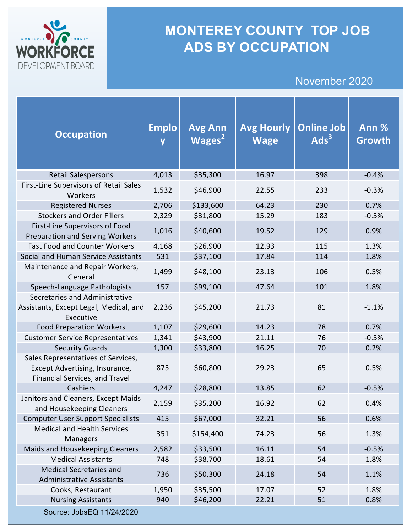

## **MONTEREY COUNTY TOP JOB ADS BY OCCUPATION**

### November 2020

| <b>Occupation</b>                                                                                      | <b>Emplo</b><br>$\overline{\mathsf{y}}$ | <b>Avg Ann</b><br>Wages $2$ | <b>Avg Hourly</b><br><b>Wage</b> | <b>Online Job</b><br>Ads <sup>3</sup> | Ann %<br>Growth |
|--------------------------------------------------------------------------------------------------------|-----------------------------------------|-----------------------------|----------------------------------|---------------------------------------|-----------------|
| <b>Retail Salespersons</b>                                                                             | 4,013                                   | \$35,300                    | 16.97                            | 398                                   | $-0.4%$         |
| First-Line Supervisors of Retail Sales<br>Workers                                                      | 1,532                                   | \$46,900                    | 22.55                            | 233                                   | $-0.3%$         |
| <b>Registered Nurses</b>                                                                               | 2,706                                   | \$133,600                   | 64.23                            | 230                                   | 0.7%            |
| <b>Stockers and Order Fillers</b>                                                                      | 2,329                                   | \$31,800                    | 15.29                            | 183                                   | $-0.5%$         |
| First-Line Supervisors of Food<br><b>Preparation and Serving Workers</b>                               | 1,016                                   | \$40,600                    | 19.52                            | 129                                   | 0.9%            |
| <b>Fast Food and Counter Workers</b>                                                                   | 4,168                                   | \$26,900                    | 12.93                            | 115                                   | 1.3%            |
| Social and Human Service Assistants                                                                    | 531                                     | \$37,100                    | 17.84                            | 114                                   | 1.8%            |
| Maintenance and Repair Workers,<br>General                                                             | 1,499                                   | \$48,100                    | 23.13                            | 106                                   | 0.5%            |
| Speech-Language Pathologists                                                                           | 157                                     | \$99,100                    | 47.64                            | 101                                   | 1.8%            |
| Secretaries and Administrative<br>Assistants, Except Legal, Medical, and<br>Executive                  | 2,236                                   | \$45,200                    | 21.73                            | 81                                    | $-1.1%$         |
| <b>Food Preparation Workers</b>                                                                        | 1,107                                   | \$29,600                    | 14.23                            | 78                                    | 0.7%            |
| <b>Customer Service Representatives</b>                                                                | 1,341                                   | \$43,900                    | 21.11                            | 76                                    | $-0.5%$         |
| <b>Security Guards</b>                                                                                 | 1,300                                   | \$33,800                    | 16.25                            | 70                                    | 0.2%            |
| Sales Representatives of Services,<br>Except Advertising, Insurance,<br>Financial Services, and Travel | 875                                     | \$60,800                    | 29.23                            | 65                                    | 0.5%            |
| Cashiers                                                                                               | 4,247                                   | \$28,800                    | 13.85                            | 62                                    | $-0.5%$         |
| Janitors and Cleaners, Except Maids<br>and Housekeeping Cleaners                                       | 2,159                                   | \$35,200                    | 16.92                            | 62                                    | 0.4%            |
| <b>Computer User Support Specialists</b>                                                               | 415                                     | \$67,000                    | 32.21                            | 56                                    | 0.6%            |
| <b>Medical and Health Services</b><br>Managers                                                         | 351                                     | \$154,400                   | 74.23                            | 56                                    | 1.3%            |
| Maids and Housekeeping Cleaners                                                                        | 2,582                                   | \$33,500                    | 16.11                            | 54                                    | $-0.5%$         |
| <b>Medical Assistants</b>                                                                              | 748                                     | \$38,700                    | 18.61                            | 54                                    | 1.8%            |
| <b>Medical Secretaries and</b><br><b>Administrative Assistants</b>                                     | 736                                     | \$50,300                    | 24.18                            | 54                                    | 1.1%            |
| Cooks, Restaurant                                                                                      | 1,950                                   | \$35,500                    | 17.07                            | 52                                    | 1.8%            |
| <b>Nursing Assistants</b>                                                                              | 940                                     | \$46,200                    | 22.21                            | 51                                    | 0.8%            |
| Source: JobsEQ 11/24/2020                                                                              |                                         |                             |                                  |                                       |                 |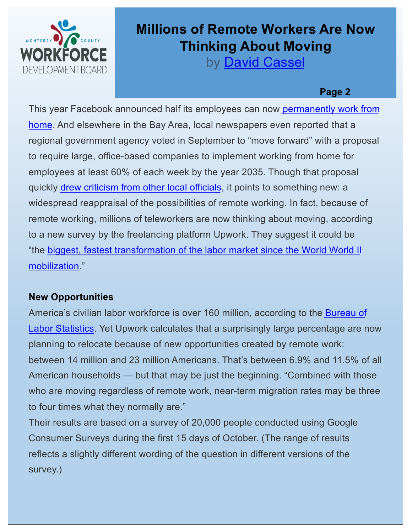

## **Millions of Remote Workers Are Now Thinking About Moving**

by **[David Casse](https://thenewstack.io/author/destiny/)l** 

#### **Page 2**

This year Facebook announced half its employees can now permanently work from [home. And elsewhere in the Bay Area, local newspapers even reported that a](https://www.npr.org/sections/coronavirus-live-updates/2020/05/21/860382831/facebook-expects-half-its-employees-to-work-remotely-forever)  regional government agency voted in September to "move forward" with a proposal to require large, office-based companies to implement working from home for employees at least 60% of each week by the year 2035. Though that proposal quickly [drew criticism from other local officia](https://www.nbcnews.com/tech/tech-news/california-s-bay-area-likes-telecommuting-so-much-it-might-n1240898)ls, it points to something new: a widespread reappraisal of the possibilities of remote working. In fact, because of remote working, millions of teleworkers are now thinking about moving, according to a new survey by the freelancing platform Upwork. They suggest it could be "the [biggest, fastest transformation of the labor market since the World World](https://www.upwork.com/press/releases/economist-report-remote-workers-on-the-move) II mobilization."

### **New Opportunities**

America's civilian labor workforce is over 160 million, according to the Bureau of [Labor Statistics. Yet Upwork calculates that a surprisingly large percentage are](https://www.bls.gov/news.release/empsit.t01.htm) now planning to relocate because of new opportunities created by remote work: between 14 million and 23 million Americans. That's between 6.9% and 11.5% of all American households — but that may be just the beginning. "Combined with those who are moving regardless of remote work, near-term migration rates may be three to four times what they normally are."

Their results are based on a survey of 20,000 people conducted using Google Consumer Surveys during the first 15 days of October. (The range of results reflects a slightly different wording of the question in different versions of the survey.)